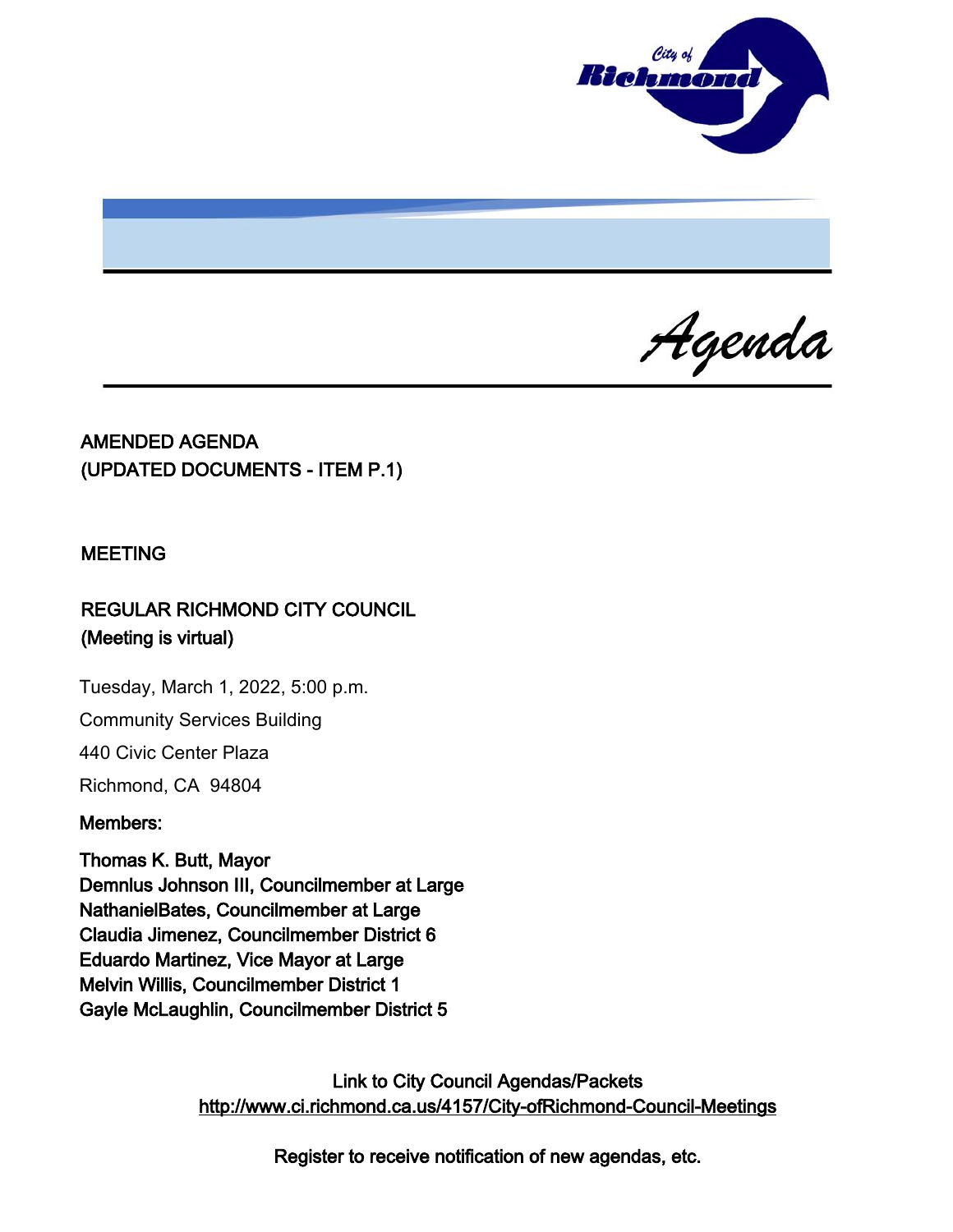

Agenda

# AMENDED AGENDA (UPDATED DOCUMENTS - ITEM P.1)

#### MEETING

# REGULAR RICHMOND CITY COUNCIL (Meeting is virtual)

Tuesday, March 1, 2022, 5:00 p.m.

Community Services Building

440 Civic Center Plaza

Richmond, CA 94804

#### Members:

Thomas K. Butt, Mayor Demnlus Johnson III, Councilmember at Large NathanielBates, Councilmember at Large Claudia Jimenez, Councilmember District 6 Eduardo Martinez, Vice Mayor at Large Melvin Willis, Councilmember District 1 Gayle McLaughlin, Councilmember District 5

> Link to City Council Agendas/Packets <http://www.ci.richmond.ca.us/4157/City-ofRichmond-Council-Meetings>

> > Register to receive notification of new agendas, etc.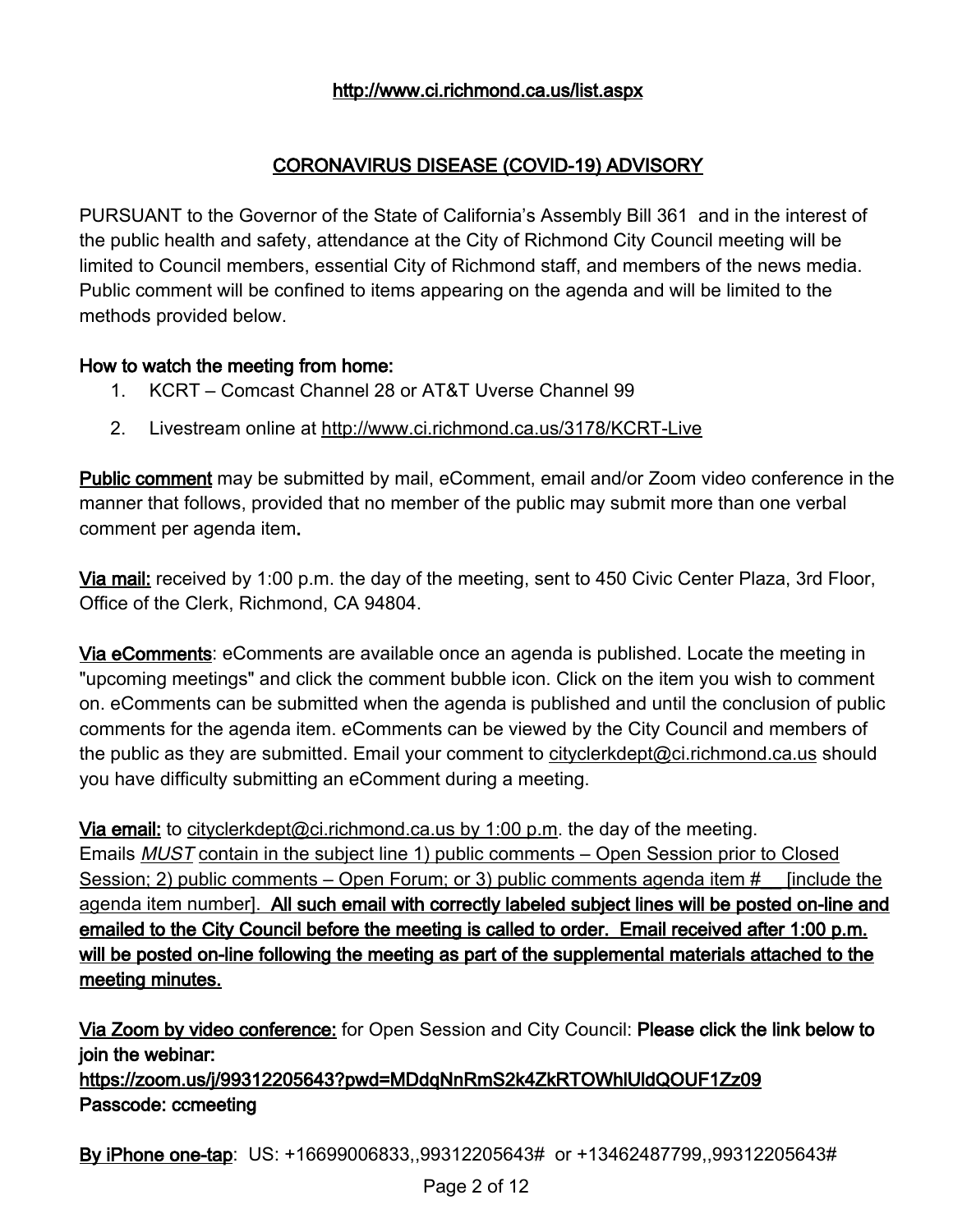#### <http://www.ci.richmond.ca.us/list.aspx>

# CORONAVIRUS DISEASE (COVID-19) ADVISORY

PURSUANT to the Governor of the State of California's Assembly Bill 361 and in the interest of the public health and safety, attendance at the City of Richmond City Council meeting will be limited to Council members, essential City of Richmond staff, and members of the news media. Public comment will be confined to items appearing on the agenda and will be limited to the methods provided below.

#### How to watch the meeting from home:

- 1. KCRT Comcast Channel 28 or AT&T Uverse Channel 99
- 2. Livestream online at <http://www.ci.richmond.ca.us/3178/KCRT-Live>

Public comment may be submitted by mail, eComment, email and/or Zoom video conference in the manner that follows, provided that no member of the public may submit more than one verbal comment per agenda item.

Via mail: received by 1:00 p.m. the day of the meeting, sent to 450 Civic Center Plaza, 3rd Floor, Office of the Clerk, Richmond, CA 94804.

Via eComments: eComments are available once an agenda is published. Locate the meeting in "upcoming meetings" and click the comment bubble icon. Click on the item you wish to comment on. eComments can be submitted when the agenda is published and until the conclusion of public comments for the agenda item. eComments can be viewed by the City Council and members of the public as they are submitted. Email your comment to [cityclerkdept@ci.richmond.ca.us](mailto:cityclerkdept@ci.richmond.ca.us) should you have difficulty submitting an eComment during a meeting.

Via email: to [cityclerkdept@ci.richmond.ca.us](mailto:cityclerkdept@ci.richmond.ca.us) by 1:00 p.m. the day of the meeting. Emails **MUST** contain in the subject line 1) public comments – Open Session prior to Closed Session; 2) public comments – Open Forum; or 3) public comments agenda item # [include the agenda item number]. All such email with correctly labeled subject lines will be posted on-line and emailed to the City Council before the meeting is called to order. Email received after 1:00 p.m. will be posted on-line following the meeting as part of the supplemental materials attached to the meeting minutes.

Via Zoom by video conference: for Open Session and City Council: Please click the link below to join the webinar: https://zoom.us/j/99312205643?pwd=MDdqNnRmS2k4ZkRTOWhlUldQOUF1Zz09

Passcode: ccmeeting

By iPhone one-tap: US: +16699006833,,99312205643# or +13462487799,,99312205643#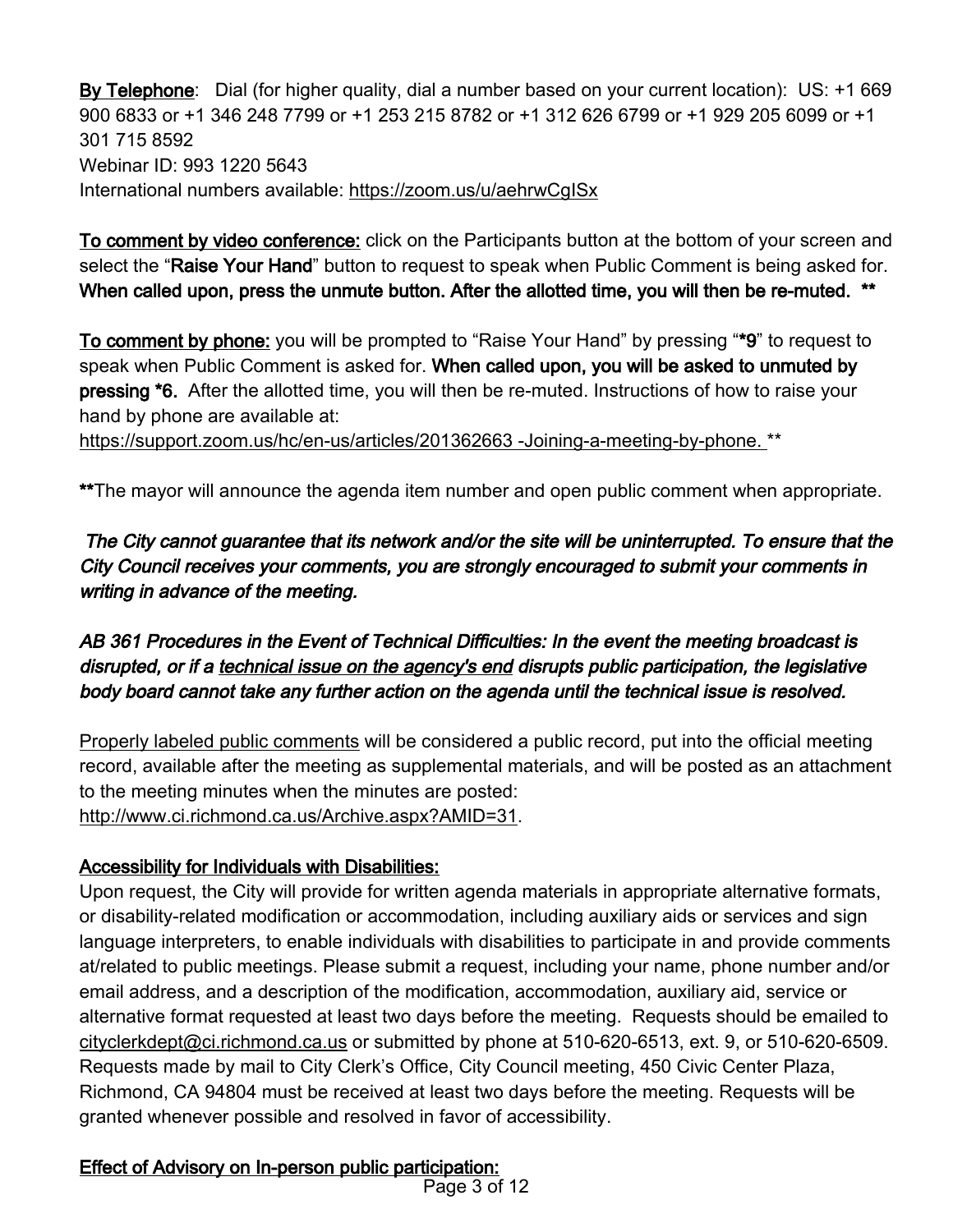By Telephone: Dial (for higher quality, dial a number based on your current location): US: +1 669 900 6833 or +1 346 248 7799 or +1 253 215 8782 or +1 312 626 6799 or +1 929 205 6099 or +1 301 715 8592 Webinar ID: 993 1220 5643 International numbers available: <https://zoom.us/u/aehrwCgISx>

To comment by video conference: click on the Participants button at the bottom of your screen and select the "Raise Your Hand" button to request to speak when Public Comment is being asked for. When called upon, press the unmute button. After the allotted time, you will then be re-muted. \*\*

To comment by phone: you will be prompted to "Raise Your Hand" by pressing "\*9" to request to speak when Public Comment is asked for. When called upon, you will be asked to unmuted by pressing \*6. After the allotted time, you will then be re-muted. Instructions of how to raise your hand by phone are available at:

[https://support.zoom.us/hc/en-us/articles/201362663 -Joining-a-meeting-by-phone.](https://support.zoom.us/hc/en-us/articles/201362663%20-Joining-a-meeting-by-phone.) \*\*

\*\*The mayor will announce the agenda item number and open public comment when appropriate.

The City cannot guarantee that its network and/or the site will be uninterrupted. To ensure that the City Council receives your comments, you are strongly encouraged to submit your comments in writing in advance of the meeting.

AB 361 Procedures in the Event of Technical Difficulties: In the event the meeting broadcast is disrupted, or if a technical issue on the agency's end disrupts public participation, the legislative body board cannot take any further action on the agenda until the technical issue is resolved.

Properly labeled public comments will be considered a public record, put into the official meeting record, available after the meeting as supplemental materials, and will be posted as an attachment to the meeting minutes when the minutes are posted: [http://www.ci.richmond.ca.us/Archive.aspx?AMID=31.](http://www.ci.richmond.ca.us/Archive.aspx?AMID=31)

# Accessibility for Individuals with Disabilities:

Upon request, the City will provide for written agenda materials in appropriate alternative formats, or disability-related modification or accommodation, including auxiliary aids or services and sign language interpreters, to enable individuals with disabilities to participate in and provide comments at/related to public meetings. Please submit a request, including your name, phone number and/or email address, and a description of the modification, accommodation, auxiliary aid, service or alternative format requested at least two days before the meeting. Requests should be emailed to [cityclerkdept@ci.richmond.ca.us](mailto:cityclerkdept@ci.richmond.ca.us) or submitted by phone at 510-620-6513, ext. 9, or 510-620-6509. Requests made by mail to City Clerk's Office, City Council meeting, 450 Civic Center Plaza, Richmond, CA 94804 must be received at least two days before the meeting. Requests will be granted whenever possible and resolved in favor of accessibility.

Effect of Advisory on In-person public participation: Page 3 of 12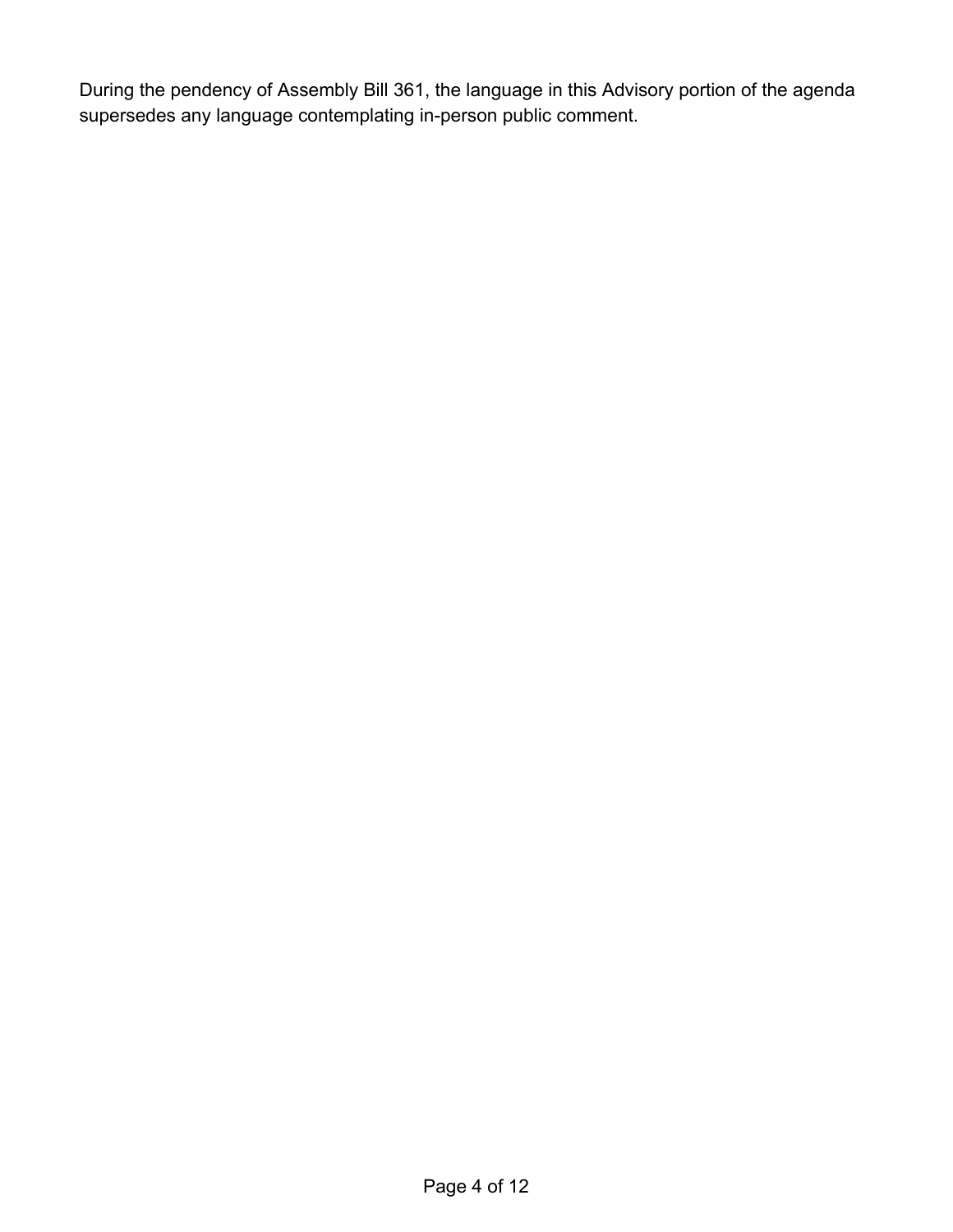During the pendency of Assembly Bill 361, the language in this Advisory portion of the agenda supersedes any language contemplating in-person public comment.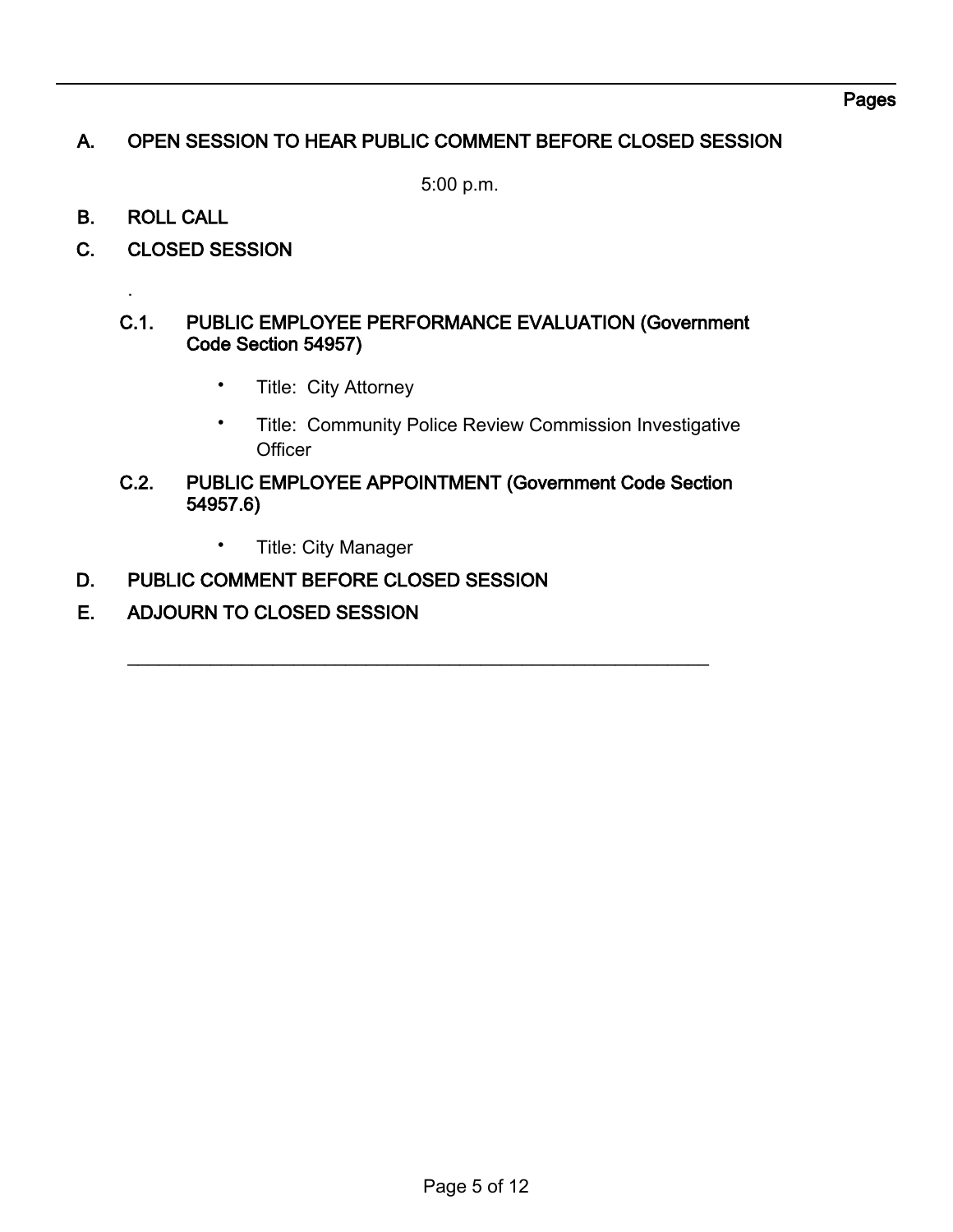#### Pages

# A. OPEN SESSION TO HEAR PUBLIC COMMENT BEFORE CLOSED SESSION

5:00 p.m.

B. ROLL CALL

.

C. CLOSED SESSION

#### C.1. PUBLIC EMPLOYEE PERFORMANCE EVALUATION (Government Code Section 54957)

- Title: City Attorney
- Title: Community Police Review Commission Investigative **Officer**
- C.2. PUBLIC EMPLOYEE APPOINTMENT (Government Code Section 54957.6)

 $\overline{\phantom{a}}$  , and the contribution of the contribution of the contribution of the contribution of the contribution of the contribution of the contribution of the contribution of the contribution of the contribution of the

- Title: City Manager
- D. PUBLIC COMMENT BEFORE CLOSED SESSION
- E. ADJOURN TO CLOSED SESSION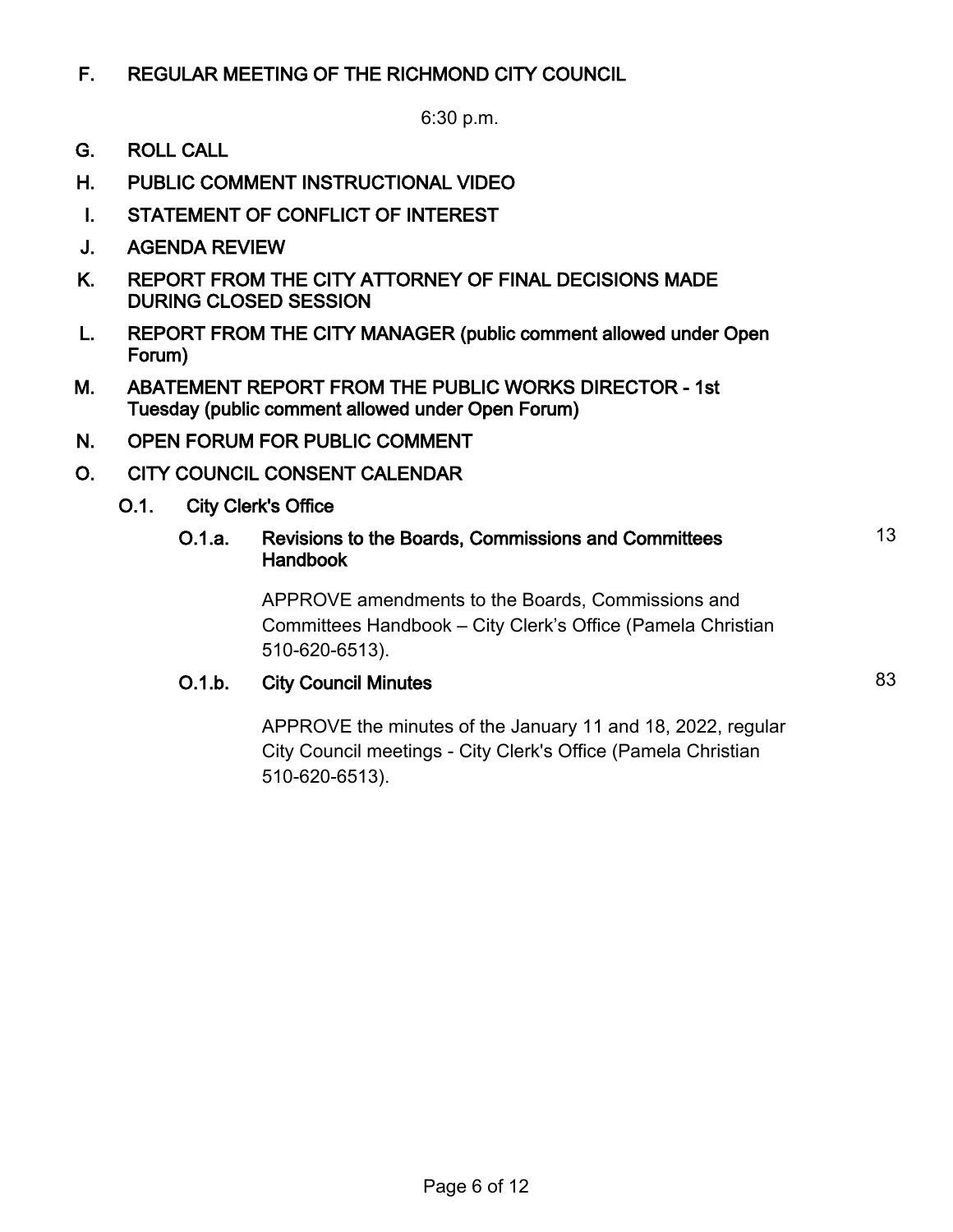# F. REGULAR MEETING OF THE RICHMOND CITY COUNCIL

6:30 p.m.

- G. ROLL CALL
- H. PUBLIC COMMENT INSTRUCTIONAL VIDEO
- I. STATEMENT OF CONFLICT OF INTEREST
- J. AGENDA REVIEW
- K. REPORT FROM THE CITY ATTORNEY OF FINAL DECISIONS MADE DURING CLOSED SESSION
- L. REPORT FROM THE CITY MANAGER (public comment allowed under Open Forum)
- M. ABATEMENT REPORT FROM THE PUBLIC WORKS DIRECTOR 1st Tuesday (public comment allowed under Open Forum)
- N. OPEN FORUM FOR PUBLIC COMMENT
- O. CITY COUNCIL CONSENT CALENDAR
	- O.1. City Clerk's Office

#### O.1.a. Revisions to the Boards, Commissions and Committees Handbook

APPROVE amendments to the Boards, Commissions and Committees Handbook – City Clerk's Office (Pamela Christian 510-620-6513).

# **O.1.b.** City Council Minutes 83

APPROVE the minutes of the January 11 and 18, 2022, regular City Council meetings - City Clerk's Office (Pamela Christian 510-620-6513).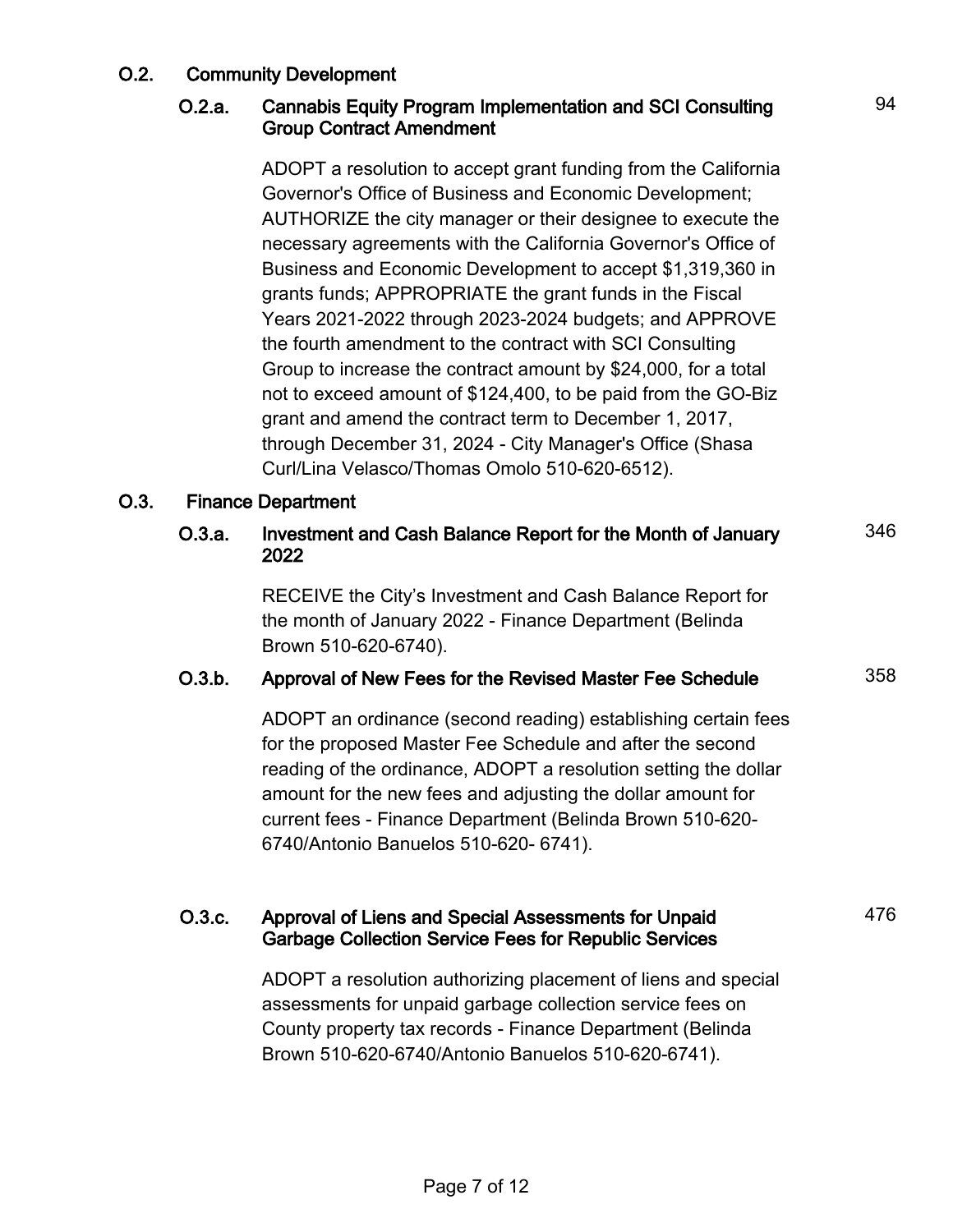### O.2. Community Development

#### O.2.a. Cannabis Equity Program Implementation and SCI Consulting Group Contract Amendment

ADOPT a resolution to accept grant funding from the California Governor's Office of Business and Economic Development; AUTHORIZE the city manager or their designee to execute the necessary agreements with the California Governor's Office of Business and Economic Development to accept \$1,319,360 in grants funds; APPROPRIATE the grant funds in the Fiscal Years 2021-2022 through 2023-2024 budgets; and APPROVE the fourth amendment to the contract with SCI Consulting Group to increase the contract amount by \$24,000, for a total not to exceed amount of \$124,400, to be paid from the GO-Biz grant and amend the contract term to December 1, 2017, through December 31, 2024 - City Manager's Office (Shasa Curl/Lina Velasco/Thomas Omolo 510-620-6512).

#### O.3. Finance Department

#### O.3.a. Investment and Cash Balance Report for the Month of January 2022 346

RECEIVE the City's Investment and Cash Balance Report for the month of January 2022 - Finance Department (Belinda Brown 510-620-6740).

### O.3.b. Approval of New Fees for the Revised Master Fee Schedule 358

ADOPT an ordinance (second reading) establishing certain fees for the proposed Master Fee Schedule and after the second reading of the ordinance, ADOPT a resolution setting the dollar amount for the new fees and adjusting the dollar amount for current fees - Finance Department (Belinda Brown 510-620- 6740/Antonio Banuelos 510-620- 6741).

#### O.3.c. Approval of Liens and Special Assessments for Unpaid Garbage Collection Service Fees for Republic Services

ADOPT a resolution authorizing placement of liens and special assessments for unpaid garbage collection service fees on County property tax records - Finance Department (Belinda Brown 510-620-6740/Antonio Banuelos 510-620-6741).

476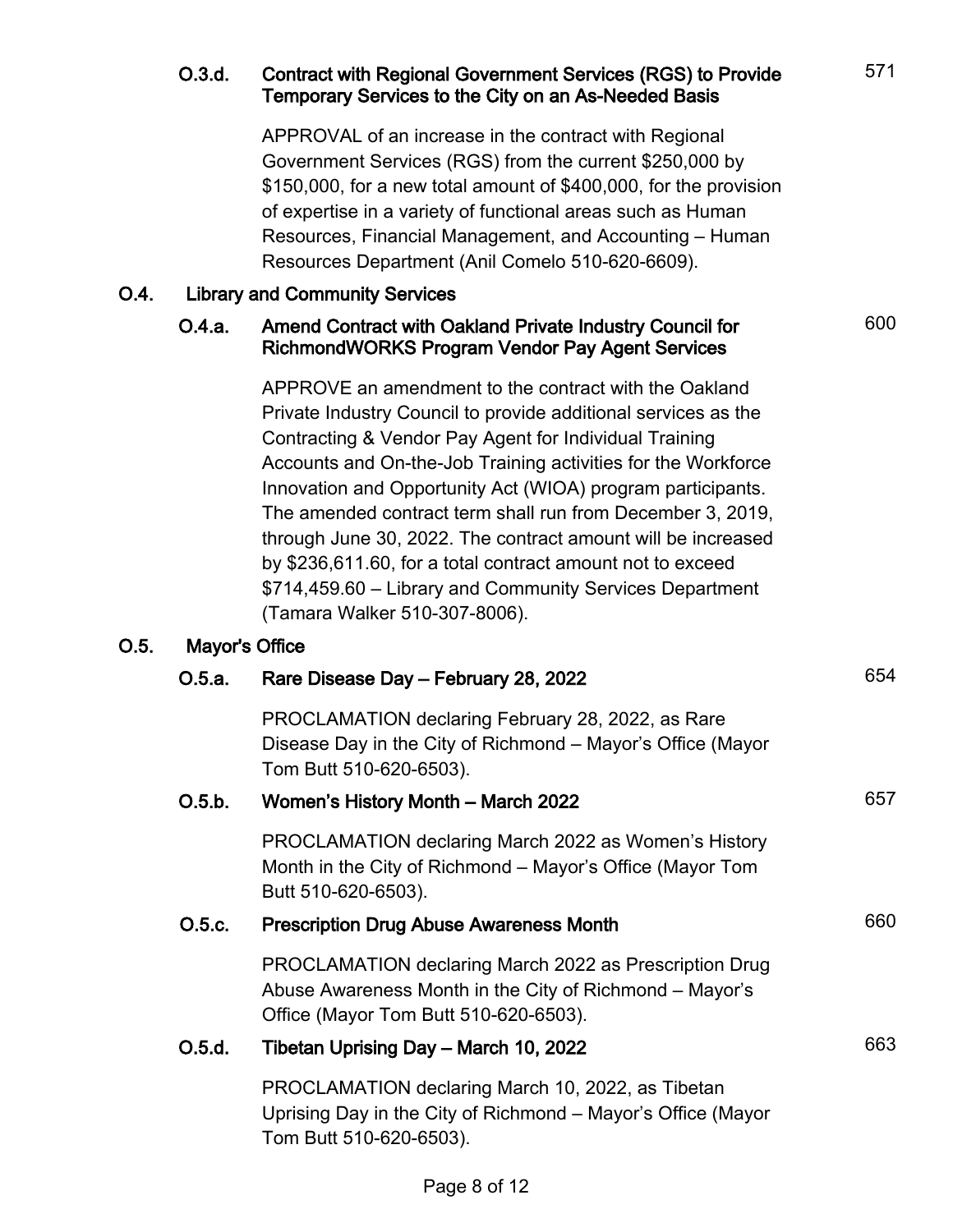|      |                                       | Government Services (RGS) from the current \$250,000 by<br>\$150,000, for a new total amount of \$400,000, for the provision<br>of expertise in a variety of functional areas such as Human<br>Resources, Financial Management, and Accounting - Human<br>Resources Department (Anil Comelo 510-620-6609).                                                                                                                                                                                                                                                                                                 |     |  |
|------|---------------------------------------|------------------------------------------------------------------------------------------------------------------------------------------------------------------------------------------------------------------------------------------------------------------------------------------------------------------------------------------------------------------------------------------------------------------------------------------------------------------------------------------------------------------------------------------------------------------------------------------------------------|-----|--|
| 0.4. | <b>Library and Community Services</b> |                                                                                                                                                                                                                                                                                                                                                                                                                                                                                                                                                                                                            |     |  |
|      | O.4.a.                                | Amend Contract with Oakland Private Industry Council for<br><b>RichmondWORKS Program Vendor Pay Agent Services</b>                                                                                                                                                                                                                                                                                                                                                                                                                                                                                         | 600 |  |
|      |                                       | APPROVE an amendment to the contract with the Oakland<br>Private Industry Council to provide additional services as the<br>Contracting & Vendor Pay Agent for Individual Training<br>Accounts and On-the-Job Training activities for the Workforce<br>Innovation and Opportunity Act (WIOA) program participants.<br>The amended contract term shall run from December 3, 2019,<br>through June 30, 2022. The contract amount will be increased<br>by \$236,611.60, for a total contract amount not to exceed<br>\$714,459.60 – Library and Community Services Department<br>(Tamara Walker 510-307-8006). |     |  |
| O.5. | Mayor's Office<br>O.5.a.              | 654                                                                                                                                                                                                                                                                                                                                                                                                                                                                                                                                                                                                        |     |  |
|      |                                       | Rare Disease Day - February 28, 2022<br>PROCLAMATION declaring February 28, 2022, as Rare<br>Disease Day in the City of Richmond – Mayor's Office (Mayor<br>Tom Butt 510-620-6503).                                                                                                                                                                                                                                                                                                                                                                                                                        |     |  |
|      | O.5.b.                                | Women's History Month - March 2022                                                                                                                                                                                                                                                                                                                                                                                                                                                                                                                                                                         | 657 |  |
|      |                                       | PROCLAMATION declaring March 2022 as Women's History<br>Month in the City of Richmond - Mayor's Office (Mayor Tom<br>Butt 510-620-6503).                                                                                                                                                                                                                                                                                                                                                                                                                                                                   |     |  |
|      | O.5.c.                                | <b>Prescription Drug Abuse Awareness Month</b>                                                                                                                                                                                                                                                                                                                                                                                                                                                                                                                                                             | 660 |  |
|      |                                       | PROCLAMATION declaring March 2022 as Prescription Drug<br>Abuse Awareness Month in the City of Richmond - Mayor's<br>Office (Mayor Tom Butt 510-620-6503).                                                                                                                                                                                                                                                                                                                                                                                                                                                 |     |  |
|      | O.5.d.                                | Tibetan Uprising Day - March 10, 2022                                                                                                                                                                                                                                                                                                                                                                                                                                                                                                                                                                      | 663 |  |
|      |                                       | PROCLAMATION declaring March 10, 2022, as Tibetan<br>Uprising Day in the City of Richmond – Mayor's Office (Mayor<br>Tom Butt 510-620-6503).                                                                                                                                                                                                                                                                                                                                                                                                                                                               |     |  |

# O.3.d. Contract with Regional Government Services (RGS) to Provide Temporary Services to the City on an As-Needed Basis

APPROVAL of an increase in the contract with Regional

571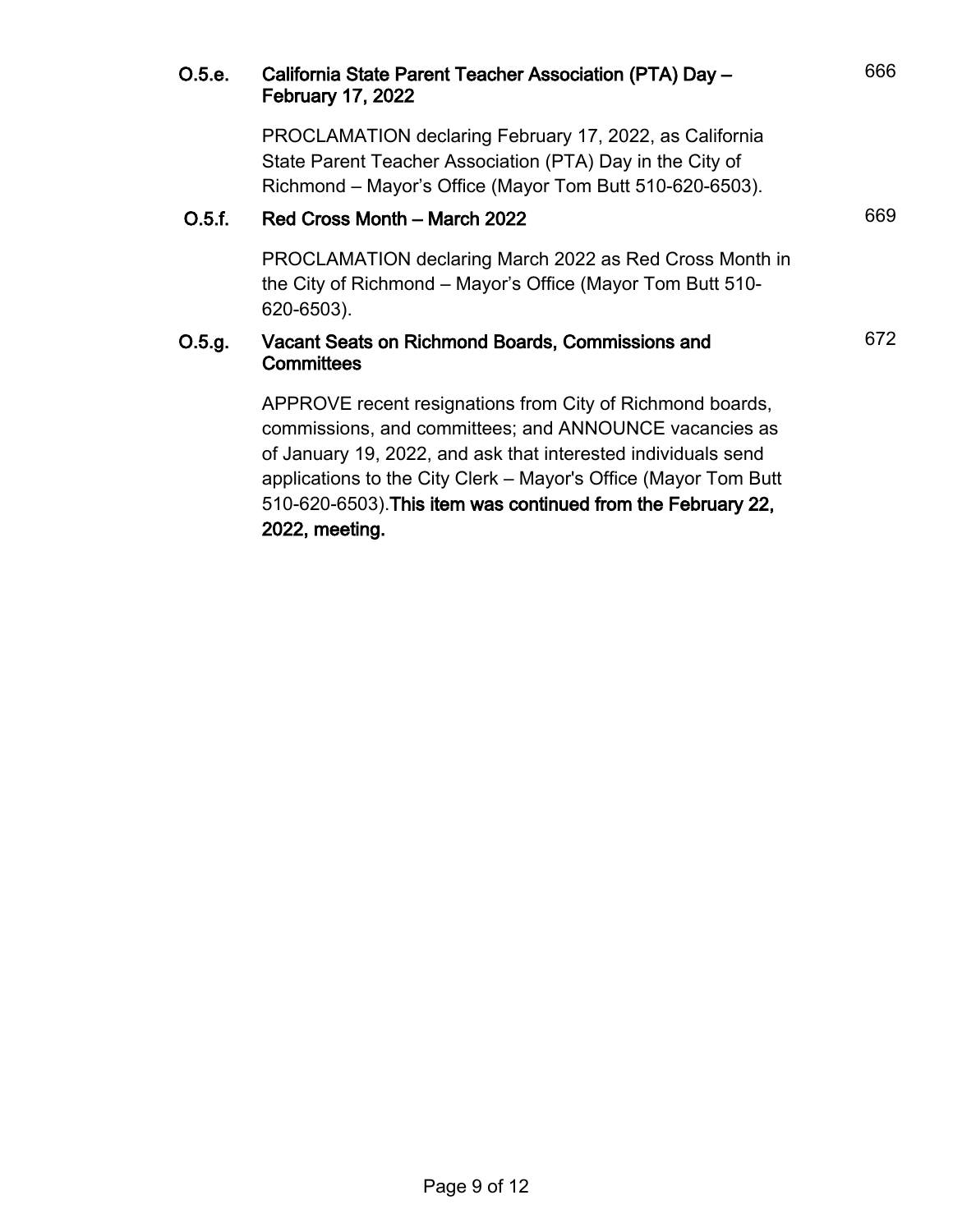| O.5.e. | California State Parent Teacher Association (PTA) Day -<br><b>February 17, 2022</b>                                                                                                                                                                                                                                     | 666 |
|--------|-------------------------------------------------------------------------------------------------------------------------------------------------------------------------------------------------------------------------------------------------------------------------------------------------------------------------|-----|
|        | PROCLAMATION declaring February 17, 2022, as California<br>State Parent Teacher Association (PTA) Day in the City of<br>Richmond – Mayor's Office (Mayor Tom Butt 510-620-6503).                                                                                                                                        |     |
| O.5.f. | Red Cross Month - March 2022                                                                                                                                                                                                                                                                                            | 669 |
|        | PROCLAMATION declaring March 2022 as Red Cross Month in<br>the City of Richmond – Mayor's Office (Mayor Tom Butt 510-<br>620-6503).                                                                                                                                                                                     |     |
| O.5.g. | Vacant Seats on Richmond Boards, Commissions and<br>Committees                                                                                                                                                                                                                                                          | 672 |
|        | APPROVE recent resignations from City of Richmond boards,<br>commissions, and committees; and ANNOUNCE vacancies as<br>of January 19, 2022, and ask that interested individuals send<br>applications to the City Clerk - Mayor's Office (Mayor Tom Butt<br>510-620-6503). This item was continued from the February 22, |     |

# 2022, meeting.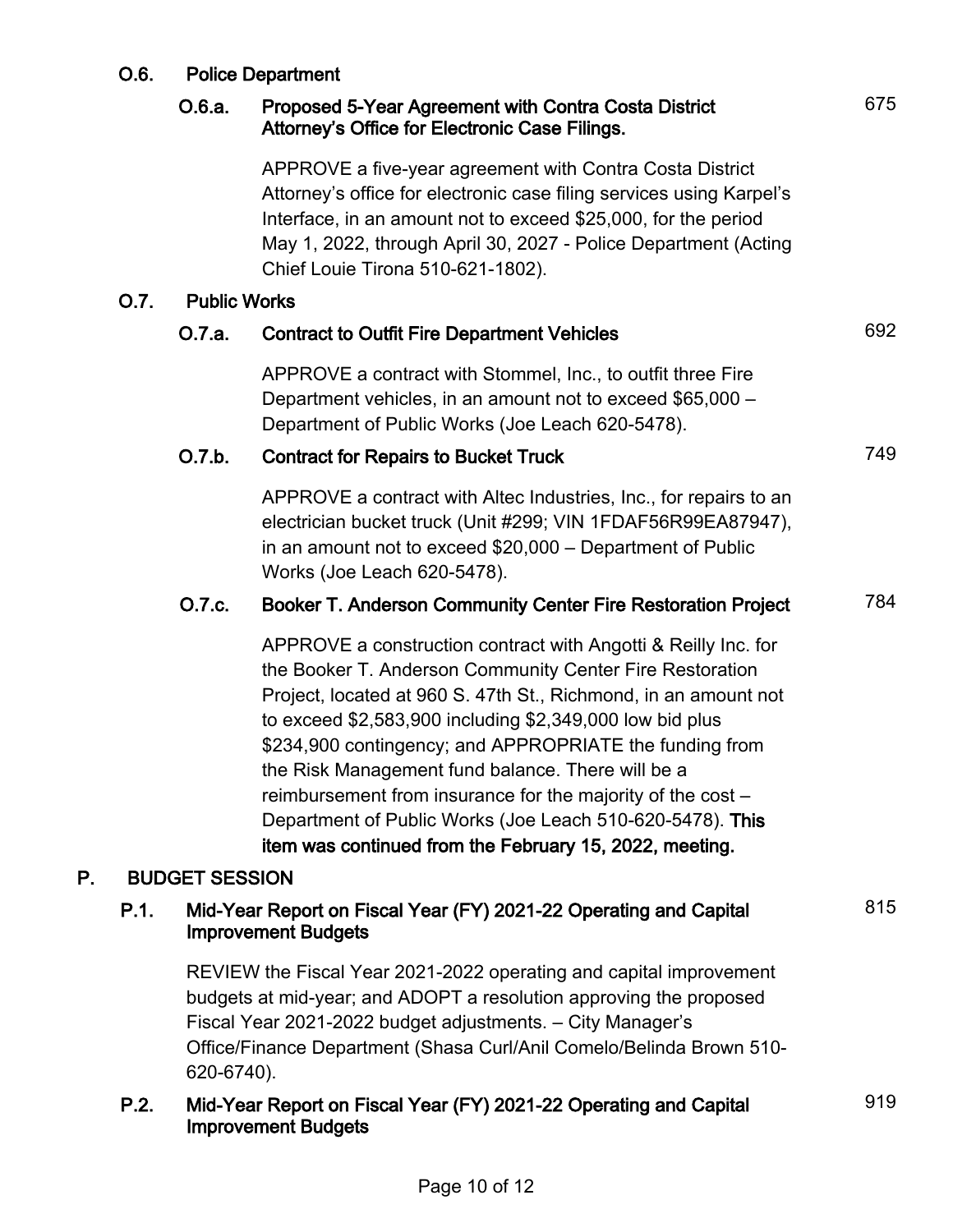# O.6. Police Department

#### O.6.a. Proposed 5-Year Agreement with Contra Costa District Attorney's Office for Electronic Case Filings.

APPROVE a five-year agreement with Contra Costa District Attorney's office for electronic case filing services using Karpel's Interface, in an amount not to exceed \$25,000, for the period May 1, 2022, through April 30, 2027 - Police Department (Acting Chief Louie Tirona 510-621-1802).

#### O.7. Public Works

# O.7.a. Contract to Outfit Fire Department Vehicles 692 APPROVE a contract with Stommel, Inc., to outfit three Fire Department vehicles, in an amount not to exceed \$65,000 – Department of Public Works (Joe Leach 620-5478). O.7.b. Contract for Repairs to Bucket Truck **CONSCRIPT 199** 749 APPROVE a contract with Altec Industries, Inc., for repairs to an electrician bucket truck (Unit #299; VIN 1FDAF56R99EA87947), in an amount not to exceed \$20,000 – Department of Public Works (Joe Leach 620-5478). O.7.c. Booker T. Anderson Community Center Fire Restoration Project 784 APPROVE a construction contract with Angotti & Reilly Inc. for the Booker T. Anderson Community Center Fire Restoration Project, located at 960 S. 47th St., Richmond, in an amount not to exceed \$2,583,900 including \$2,349,000 low bid plus \$234,900 contingency; and APPROPRIATE the funding from the Risk Management fund balance. There will be a reimbursement from insurance for the majority of the cost – Department of Public Works (Joe Leach 510-620-5478). This item was continued from the February 15, 2022, meeting. P. BUDGET SESSION P.1. Mid-Year Report on Fiscal Year (FY) 2021-22 Operating and Capital Improvement Budgets 815 REVIEW the Fiscal Year 2021-2022 operating and capital improvement

budgets at mid-year; and ADOPT a resolution approving the proposed Fiscal Year 2021-2022 budget adjustments. – City Manager's Office/Finance Department (Shasa Curl/Anil Comelo/Belinda Brown 510- 620-6740).

#### P.2. Mid-Year Report on Fiscal Year (FY) 2021-22 Operating and Capital Improvement Budgets

919

675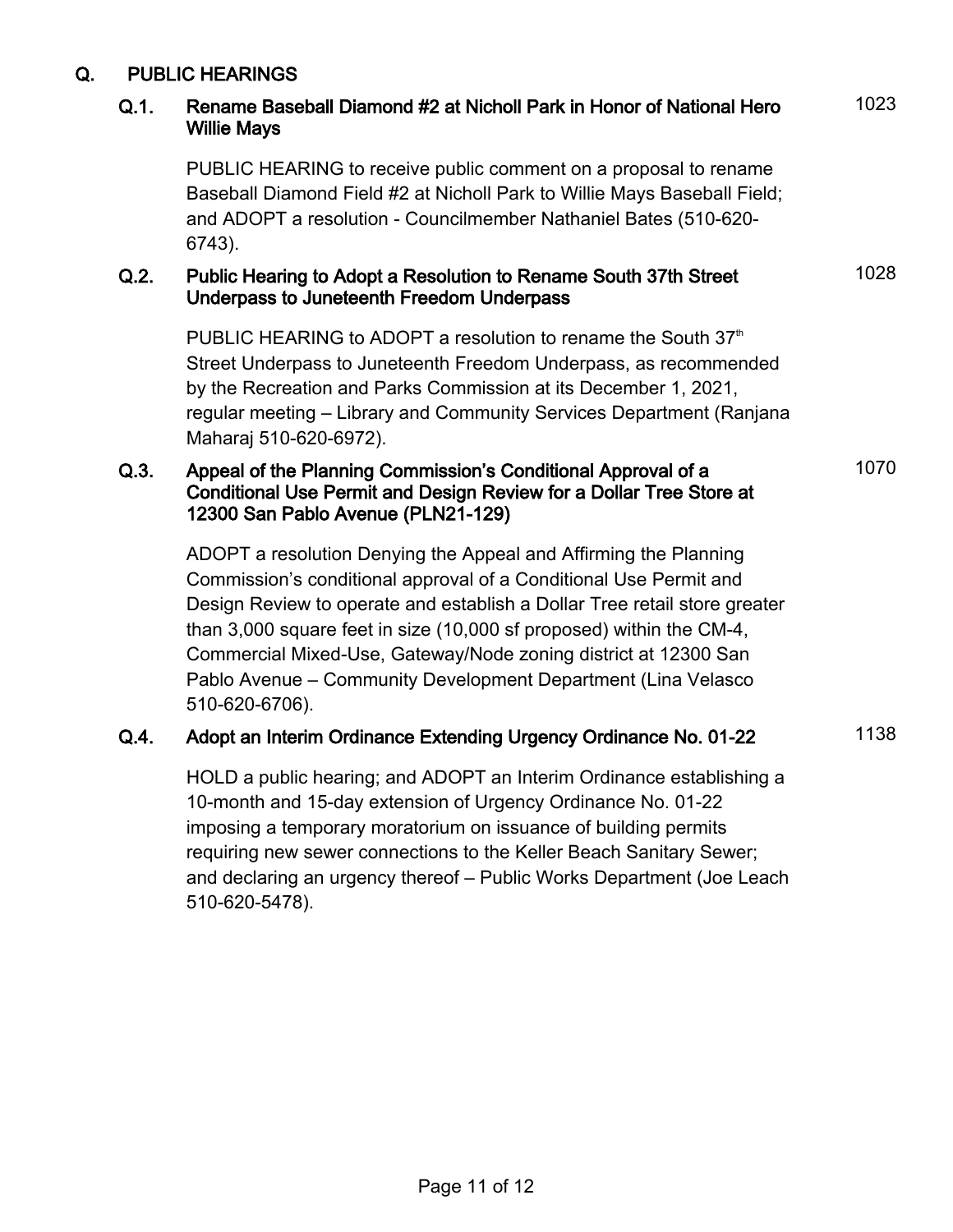# Q. PUBLIC HEARINGS

#### Q.1. Rename Baseball Diamond #2 at Nicholl Park in Honor of National Hero Willie Mays

1023

1028

1070

PUBLIC HEARING to receive public comment on a proposal to rename Baseball Diamond Field #2 at Nicholl Park to Willie Mays Baseball Field; and ADOPT a resolution - Councilmember Nathaniel Bates (510-620- 6743).

#### Q.2. Public Hearing to Adopt a Resolution to Rename South 37th Street Underpass to Juneteenth Freedom Underpass

PUBLIC HEARING to ADOPT a resolution to rename the South  $37<sup>th</sup>$ Street Underpass to Juneteenth Freedom Underpass, as recommended by the Recreation and Parks Commission at its December 1, 2021, regular meeting – Library and Community Services Department (Ranjana Maharaj 510-620-6972).

#### Q.3. Appeal of the Planning Commission's Conditional Approval of a Conditional Use Permit and Design Review for a Dollar Tree Store at 12300 San Pablo Avenue (PLN21-129)

ADOPT a resolution Denying the Appeal and Affirming the Planning Commission's conditional approval of a Conditional Use Permit and Design Review to operate and establish a Dollar Tree retail store greater than 3,000 square feet in size (10,000 sf proposed) within the CM-4, Commercial Mixed-Use, Gateway/Node zoning district at 12300 San Pablo Avenue – Community Development Department (Lina Velasco 510-620-6706).

### Q.4. Adopt an Interim Ordinance Extending Urgency Ordinance No. 01-22 1138

HOLD a public hearing; and ADOPT an Interim Ordinance establishing a 10-month and 15-day extension of Urgency Ordinance No. 01-22 imposing a temporary moratorium on issuance of building permits requiring new sewer connections to the Keller Beach Sanitary Sewer; and declaring an urgency thereof – Public Works Department (Joe Leach 510-620-5478).